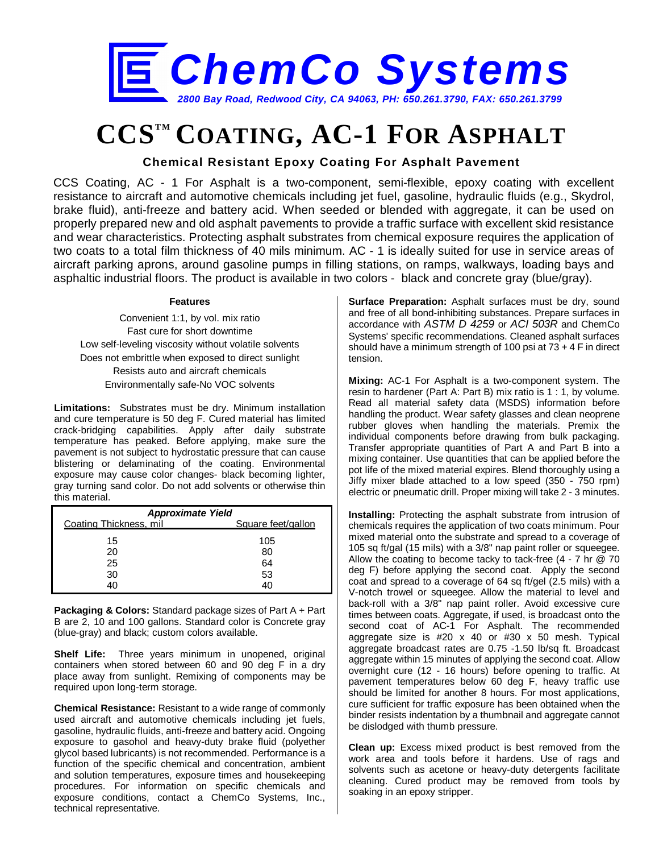

# **CCS<sup>TM</sup> COATING, AC-1 FOR ASPHALT**

## **Chemical Resistant Epoxy Coating For Asphalt Pavement**

CCS Coating, AC - 1 For Asphalt is a two-component, semi-flexible, epoxy coating with excellent resistance to aircraft and automotive chemicals including jet fuel, gasoline, hydraulic fluids (e.g., Skydrol, brake fluid), anti-freeze and battery acid. When seeded or blended with aggregate, it can be used on properly prepared new and old asphalt pavements to provide a traffic surface with excellent skid resistance and wear characteristics. Protecting asphalt substrates from chemical exposure requires the application of two coats to a total film thickness of 40 mils minimum. AC - 1 is ideally suited for use in service areas of aircraft parking aprons, around gasoline pumps in filling stations, on ramps, walkways, loading bays and asphaltic industrial floors. The product is available in two colors - black and concrete gray (blue/gray).

#### **Features**

Convenient 1:1, by vol. mix ratio Fast cure for short downtime Low self-leveling viscosity without volatile solvents Does not embrittle when exposed to direct sunlight Resists auto and aircraft chemicals Environmentally safe-No VOC solvents

**Limitations:** Substrates must be dry. Minimum installation and cure temperature is 50 deg F. Cured material has limited crack-bridging capabilities. Apply after daily substrate temperature has peaked. Before applying, make sure the pavement is not subject to hydrostatic pressure that can cause blistering or delaminating of the coating. Environmental exposure may cause color changes- black becoming lighter, gray turning sand color. Do not add solvents or otherwise thin this material.

| <b>Approximate Yield</b> |                    |  |  |
|--------------------------|--------------------|--|--|
| Coating Thickness, mil   | Square feet/gallon |  |  |
| 15                       | 105                |  |  |
| 20                       | 80                 |  |  |
| 25                       | 64                 |  |  |
| 30                       | 53                 |  |  |
| 40                       | 40                 |  |  |

**Packaging & Colors:** Standard package sizes of Part A + Part B are 2, 10 and 100 gallons. Standard color is Concrete gray (blue-gray) and black; custom colors available.

**Shelf Life:** Three years minimum in unopened, original containers when stored between 60 and 90 deg F in a dry place away from sunlight. Remixing of components may be required upon long-term storage.

**Chemical Resistance:** Resistant to a wide range of commonly used aircraft and automotive chemicals including jet fuels. gasoline, hydraulic fluids, anti-freeze and battery acid. Ongoing exposure to gasohol and heavy-duty brake fluid (polyether glycol based lubricants) is not recommended. Performance is a function of the specific chemical and concentration, ambient and solution temperatures, exposure times and housekeeping procedures. For information on specific chemicals and exposure conditions, contact a ChemCo Systems, Inc., technical representative.

**Surface Preparation:** Asphalt surfaces must be dry, sound and free of all bond-inhibiting substances. Prepare surfaces in accordance with *ASTM D 4259* or *ACI 503R* and ChemCo Systems' specific recommendations. Cleaned asphalt surfaces should have a minimum strength of 100 psi at 73 + 4 F in direct tension.

**Mixing:** AC-1 For Asphalt is a two-component system. The resin to hardener (Part A: Part B) mix ratio is 1 : 1, by volume. Read all material safety data (MSDS) information before handling the product. Wear safety glasses and clean neoprene rubber gloves when handling the materials. Premix the individual components before drawing from bulk packaging. Transfer appropriate quantities of Part A and Part B into a mixing container. Use quantities that can be applied before the pot life of the mixed material expires. Blend thoroughly using a Jiffy mixer blade attached to a low speed (350 - 750 rpm) electric or pneumatic drill. Proper mixing will take 2 - 3 minutes.

**Installing:** Protecting the asphalt substrate from intrusion of chemicals requires the application of two coats minimum. Pour mixed material onto the substrate and spread to a coverage of 105 sq ft/gal (15 mils) with a 3/8" nap paint roller or squeegee. Allow the coating to become tacky to tack-free  $(4 - 7)$  hr  $(20)$  70 deg F) before applying the second coat. Apply the second coat and spread to a coverage of 64 sq ft/gel (2.5 mils) with a V-notch trowel or squeegee. Allow the material to level and back-roll with a 3/8" nap paint roller. Avoid excessive cure times between coats. Aggregate, if used, is broadcast onto the second coat of AC-1 For Asphalt. The recommended aggregate size is #20 x 40 or #30 x 50 mesh. Typical aggregate broadcast rates are 0.75 -1.50 lb/sq ft. Broadcast aggregate within 15 minutes of applying the second coat. Allow overnight cure (12 - 16 hours) before opening to traffic. At pavement temperatures below 60 deg F, heavy traffic use should be limited for another 8 hours. For most applications, cure sufficient for traffic exposure has been obtained when the binder resists indentation by a thumbnail and aggregate cannot be dislodged with thumb pressure.

**Clean up:** Excess mixed product is best removed from the work area and tools before it hardens. Use of rags and solvents such as acetone or heavy-duty detergents facilitate cleaning. Cured product may be removed from tools by soaking in an epoxy stripper.